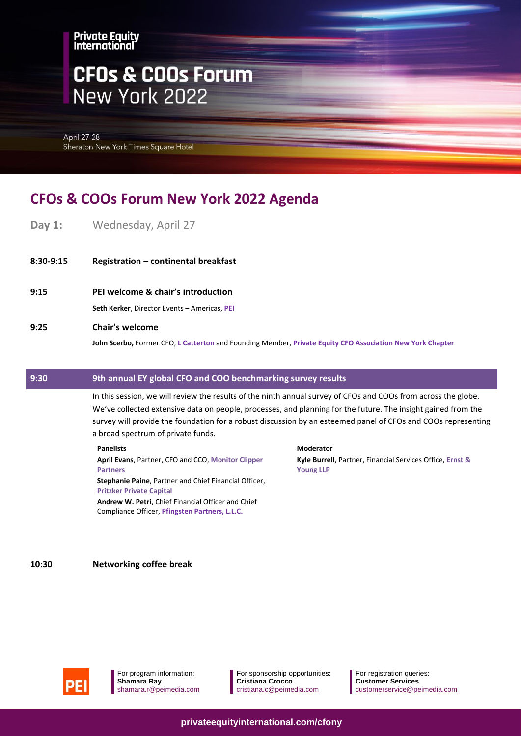# **CFOs & COOs Forum** New York 2022

**April 27-28** Sheraton New York Times Square Hotel

# **CFOs & COOs Forum New York 2022 Agenda**

- **Day 1:** Wednesday, April 27
- **8:30-9:15 Registration – continental breakfast**
- **9:15 PEI welcome & chair's introduction**

**Seth Kerker**, Director Events – Americas, **PEI**

**9:25 Chair's welcome**

**John Scerbo,** Former CFO, **L Catterton** and Founding Member, **Private Equity CFO Association New York Chapter**

## **9:30 9th annual EY global CFO and COO benchmarking survey results**

In this session, we will review the results of the ninth annual survey of CFOs and COOs from across the globe. We've collected extensive data on people, processes, and planning for the future. The insight gained from the survey will provide the foundation for a robust discussion by an esteemed panel of CFOs and COOs representing a broad spectrum of private funds.

#### **Panelists**

**April Evans**, Partner, CFO and CCO, **Monitor Clipper Partners**

**Stephanie Paine**, Partner and Chief Financial Officer, **Pritzker Private Capital**

**Andrew W. Petri**, Chief Financial Officer and Chief Compliance Officer, **Pfingsten Partners, L.L.C.**

#### **Moderator**

**Kyle Burrell**, Partner, Financial Services Office, **Ernst & Young LLP**

**10:30 Networking coffee break**



For program information: **Shamara Ray** shamara.r@peimedia.com For sponsorship opportunities: **Cristiana Crocco** [cristiana.c@peimedia.com](mailto:cristiana.c@peimedia.com)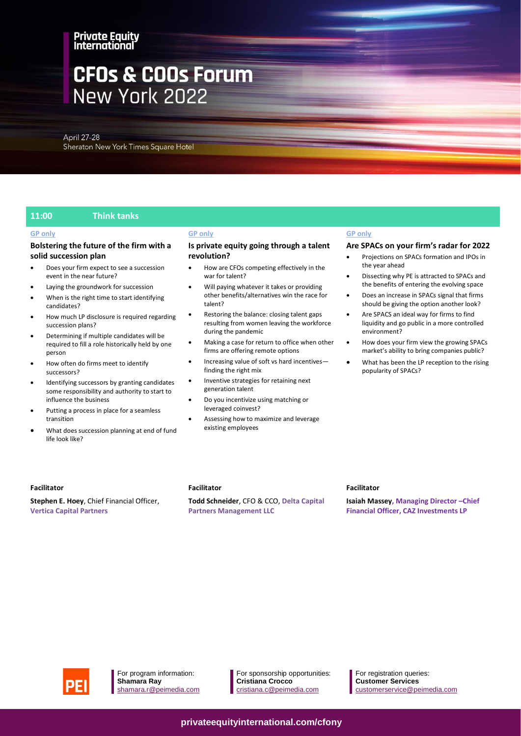# **CFOs & COOs Forum** New York 2022

April 27-28 Sheraton New York Times Square Hotel

#### **11:00 Think tanks**

#### **GP only**

#### **Bolstering the future of the firm with a solid succession plan**

- Does your firm expect to see a succession event in the near future?
- Laying the groundwork for succession
- When is the right time to start identifying candidates?
- How much LP disclosure is required regarding succession plans?
- Determining if multiple candidates will be required to fill a role historically held by one person
- How often do firms meet to identify successors?
- Identifying successors by granting candidates some responsibility and authority to start to influence the business
- Putting a process in place for a seamless transition
- What does succession planning at end of fund life look like?

#### **GP only**

#### **Is private equity going through a talent revolution?**

- How are CFOs competing effectively in the war for talent?
- Will paying whatever it takes or providing other benefits/alternatives win the race for talent?
- Restoring the balance: closing talent gaps resulting from women leaving the workforce during the pandemic
- Making a case for return to office when other firms are offering remote options
- Increasing value of soft vs hard incentives finding the right mix
- Inventive strategies for retaining next generation talent
- Do you incentivize using matching or leveraged coinvest?
- Assessing how to maximize and leverage existing employees

#### **GP only**

#### **Are SPACs on your firm's radar for 2022**

- Projections on SPACs formation and IPOs in the year ahead
- Dissecting why PE is attracted to SPACs and the benefits of entering the evolving space
- Does an increase in SPACs signal that firms should be giving the option another look?
- Are SPACS an ideal way for firms to find liquidity and go public in a more controlled environment?
- How does your firm view the growing SPACs market's ability to bring companies public?
- What has been the LP reception to the rising popularity of SPACs?

#### **Facilitator**

**Stephen E. Hoey**, Chief Financial Officer, **Vertica Capital Partners**

#### **Facilitator**

**Todd Schneider**, CFO & CCO, **Delta Capital Partners Management LLC**

#### **Facilitator**

**Isaiah Massey, Managing Director –Chief Financial Officer, CAZ Investments LP**



For program information: **Shamara Ray** shamara.r@peimedia.com

For sponsorship opportunities: **Cristiana Crocco** [cristiana.c@peimedia.com](mailto:cristiana.c@peimedia.com)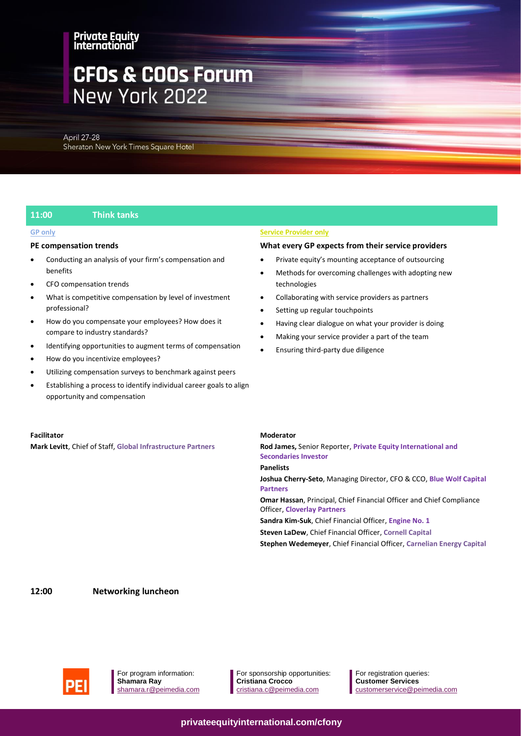# **CFOs & COOs Forum** New York 2022

April 27-28 Sheraton New York Times Square Hotel

### **11:00 Think tanks**

#### **GP only**

#### **PE compensation trends**

- Conducting an analysis of your firm's compensation and benefits
- CFO compensation trends
- What is competitive compensation by level of investment professional?
- How do you compensate your employees? How does it compare to industry standards?
- Identifying opportunities to augment terms of compensation
- How do you incentivize employees?
- Utilizing compensation surveys to benchmark against peers
- Establishing a process to identify individual career goals to align opportunity and compensation

#### **Facilitator**

**Mark Levitt**, Chief of Staff, **Global Infrastructure Partners**

#### **Service Provider only**

#### **What every GP expects from their service providers**

- Private equity's mounting acceptance of outsourcing
- Methods for overcoming challenges with adopting new technologies
- Collaborating with service providers as partners
- Setting up regular touchpoints
- Having clear dialogue on what your provider is doing
- Making your service provider a part of the team
- Ensuring third-party due diligence

#### **Moderator**

**Rod James,** Senior Reporter, **Private Equity International and Secondaries Investor Panelists**

**Joshua Cherry-Seto**, Managing Director, CFO & CCO, **Blue Wolf Capital Partners**

**Omar Hassan**, Principal, Chief Financial Officer and Chief Compliance Officer, **Cloverlay Partners**

**Sandra Kim-Suk**, Chief Financial Officer, **Engine No. 1 Steven LaDew**, Chief Financial Officer, **Cornell Capital Stephen Wedemeyer**, Chief Financial Officer, **Carnelian Energy Capital**

**12:00 Networking luncheon**



For program information: **Shamara Ray** shamara.r@peimedia.com For sponsorship opportunities: **Cristiana Crocco** [cristiana.c@peimedia.com](mailto:cristiana.c@peimedia.com)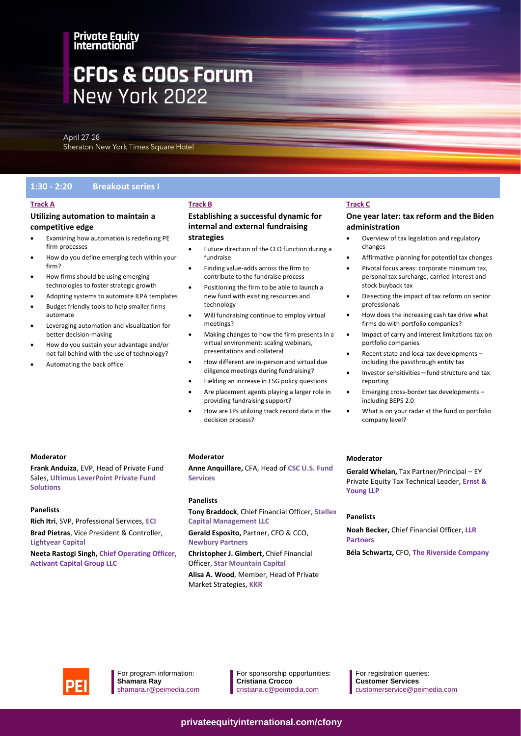# **CFOs & COOs Forum** New York 2022

April 27-28 Sheraton New York Times Square Hotel

### **1:30 - 2:20 Breakout series I**

#### **Track A**

### **Utilizing automation to maintain a competitive edge**

- Examining how automation is redefining PE firm processes
- How do you define emerging tech within your firm?
- How firms should be using emerging technologies to foster strategic growth
- Adopting systems to automate ILPA templates
- Budget friendly tools to help smaller firms automate
- Leveraging automation and visualization for better decision-making
- How do you sustain your advantage and/or not fall behind with the use of technology?
- Automating the back office

# **Track B**

### **Establishing a successful dynamic for internal and external fundraising strategies**

- Future direction of the CFO function during a fundraise
- Finding value-adds across the firm to contribute to the fundraise process
- Positioning the firm to be able to launch a new fund with existing resources and technology
- Will fundraising continue to employ virtual meetings?
- Making changes to how the firm presents in a virtual environment: scaling webinars, presentations and collateral
- How different are in-person and virtual due diligence meetings during fundraising?
- Fielding an increase in ESG policy questions
- Are placement agents playing a larger role in providing fundraising support?
- How are LPs utilizing track record data in the decision process?

### **Track C**

### **One year later: tax reform and the Biden administration**

- Overview of tax legislation and regulatory changes
- Affirmative planning for potential tax changes
- Pivotal focus areas: corporate minimum tax, personal tax surcharge, carried interest and stock buyback tax
- Dissecting the impact of tax reform on senior professionals
- How does the increasing cash tax drive what firms do with portfolio companies?
- Impact of carry and interest limitations tax on portfolio companies
- Recent state and local tax developments including the passthrough entity tax
- Investor sensitivities—fund structure and tax reporting
- Emerging cross-border tax developments including BEPS 2.0
- What is on your radar at the fund or portfolio company level?

#### **Moderator**

**Frank Anduiza**, EVP, Head of Private Fund Sales, **Ultimus LeverPoint Private Fund Solutions**

#### **Panelists**

**Rich Itri**, SVP, Professional Services, **ECI**

**Brad Pietras**, Vice President & Controller, **Lightyear Capital**

**Neeta Rastogi Singh, Chief Operating Officer, Activant Capital Group LLC**

#### **Moderator**

**Anne Anquillare,** CFA, Head of **CSC U.S. Fund Services**

#### **Panelists**

**Tony Braddock**, Chief Financial Officer, **Stellex Capital Management LLC**

**Gerald Esposito,** Partner, CFO & CCO, **Newbury Partners**

**Christopher J. Gimbert,** Chief Financial Officer, **Star Mountain Capital Alisa A. Wood**, Member, Head of Private Market Strategies, **KKR**

#### **Moderator**

**Gerald Whelan,** Tax Partner/Principal – EY Private Equity Tax Technical Leader, **Ernst & Young LLP**

#### **Panelists**

**Noah Becker,** Chief Financial Officer, **LLR Partners**

**Béla Schwartz,** CFO, **The Riverside Company**



For program information: **Shamara Ray** shamara.r@peimedia.com For sponsorship opportunities: **Cristiana Crocco** [cristiana.c@peimedia.com](mailto:cristiana.c@peimedia.com)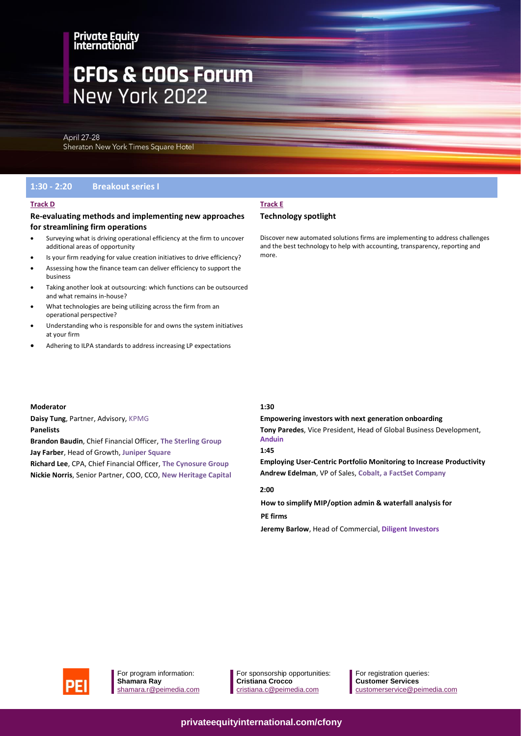# **CFOs & COOs Forum** New York 2022

**April 27-28** Sheraton New York Times Square Hotel

#### **1:30 - 2:20 Breakout series I**

#### **Track D**

# **Re-evaluating methods and implementing new approaches**

#### **for streamlining firm operations**

- Surveying what is driving operational efficiency at the firm to uncover additional areas of opportunity
- Is your firm readying for value creation initiatives to drive efficiency?
- Assessing how the finance team can deliver efficiency to support the business
- Taking another look at outsourcing: which functions can be outsourced and what remains in-house?
- What technologies are being utilizing across the firm from an operational perspective?
- Understanding who is responsible for and owns the system initiatives at your firm
- Adhering to ILPA standards to address increasing LP expectations

# **Track E**

#### **Technology spotlight**

Discover new automated solutions firms are implementing to address challenges and the best technology to help with accounting, transparency, reporting and more.

#### **Moderator**

**Daisy Tung**, Partner, Advisory, KPMG **Panelists Brandon Baudin**, Chief Financial Officer, **The Sterling Group Jay Farber**, Head of Growth, **Juniper Square Richard Lee**, CPA, Chief Financial Officer, **The Cynosure Group Nickie Norris**, Senior Partner, COO, CCO, **New Heritage Capital**

#### **1:30**

# **Empowering investors with next generation onboarding**

**Tony Paredes**, Vice President, Head of Global Business Development, **Anduin**

#### **1:45**

**Employing User-Centric Portfolio Monitoring to Increase Productivity Andrew Edelman**, VP of Sales, **Cobalt, a FactSet Company**

#### **2:00**

 **How to simplify MIP/option admin & waterfall analysis for** 

## **PE firms**

 **Jeremy Barlow**, Head of Commercial, **Diligent Investors**



For sponsorship opportunities: **Cristiana Crocco** [cristiana.c@peimedia.com](mailto:cristiana.c@peimedia.com)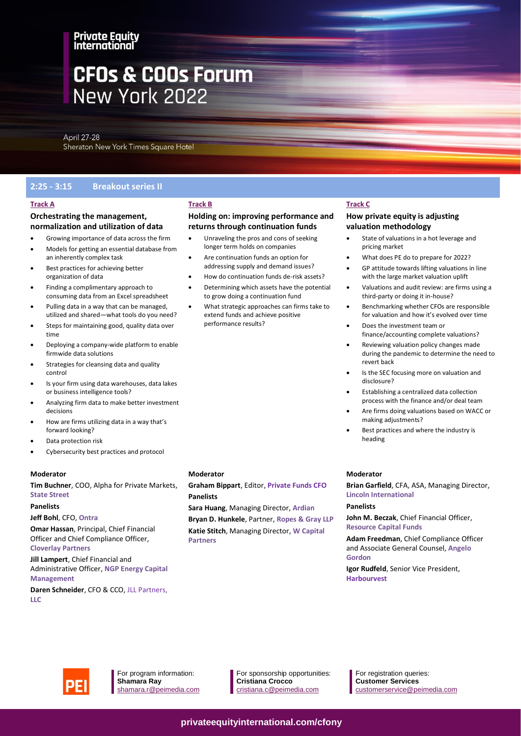# **CFOs & COOs Forum** New York 2022

April 27-28 Sheraton New York Times Square Hotel

# **2:25 - 3:15 Breakout series II**

### **Track A**

### **Orchestrating the management, normalization and utilization of data**

- Growing importance of data across the firm
- Models for getting an essential database from an inherently complex task
- Best practices for achieving better organization of data
- Finding a complimentary approach to consuming data from an Excel spreadsheet
- Pulling data in a way that can be managed, utilized and shared—what tools do you need?
- Steps for maintaining good, quality data over time
- Deploying a company-wide platform to enable firmwide data solutions
- Strategies for cleansing data and quality control
- Is your firm using data warehouses, data lakes or business intelligence tools?
- Analyzing firm data to make better investment decisions
- How are firms utilizing data in a way that's forward looking?
- Data protection risk
- Cybersecurity best practices and protocol

#### **Moderator**

**Tim Buchner**, COO, Alpha for Private Markets, **State Street**

#### **Panelists**

#### **Jeff Bohl**, CFO, **Ontra**

**Omar Hassan**, Principal, Chief Financial Officer and Chief Compliance Officer, **Cloverlay Partners**

#### **Jill Lampert**, Chief Financial and Administrative Officer, **NGP Energy Capital Management**

**Daren Schneider**, CFO & CCO, JLL Partners, **LLC**

#### **Moderator**

**Track B**

### **Graham Bippart**, Editor, **Private Funds CFO Panelists**

**Holding on: improving performance and returns through continuation funds** • Unraveling the pros and cons of seeking longer term holds on companies • Are continuation funds an option for addressing supply and demand issues? • How do continuation funds de-risk assets? • Determining which assets have the potential to grow doing a continuation fund • What strategic approaches can firms take to extend funds and achieve positive

performance results?

**Sara Huang**, Managing Director, **Ardian**

**Bryan D. Hunkele**, Partner, **Ropes & Gray LLP Katie Stitch**, Managing Director, **W Capital Partners**

### **Track C**

#### **How private equity is adjusting valuation methodology**

- State of valuations in a hot leverage and pricing market
- What does PE do to prepare for 2022?
- GP attitude towards lifting valuations in line with the large market valuation uplift
- Valuations and audit review: are firms using a third-party or doing it in-house?
- Benchmarking whether CFOs are responsible for valuation and how it's evolved over time
- Does the investment team or finance/accounting complete valuations?
- Reviewing valuation policy changes made during the pandemic to determine the need to revert back
- Is the SEC focusing more on valuation and disclosure?
- Establishing a centralized data collection process with the finance and/or deal team
- Are firms doing valuations based on WACC or making adjustments?
- Best practices and where the industry is heading

#### **Moderator**

**Brian Garfield**, CFA, ASA, Managing Director, **Lincoln International**

#### **Panelists**

**John M. Beczak**, Chief Financial Officer, **Resource Capital Funds**

**Adam Freedman**, Chief Compliance Officer and Associate General Counsel, **Angelo Gordon**

**Igor Rudfeld**, Senior Vice President, **Harbourvest**



For program information: **Shamara Ray** shamara.r@peimedia.com For sponsorship opportunities: **Cristiana Crocco** [cristiana.c@peimedia.com](mailto:cristiana.c@peimedia.com)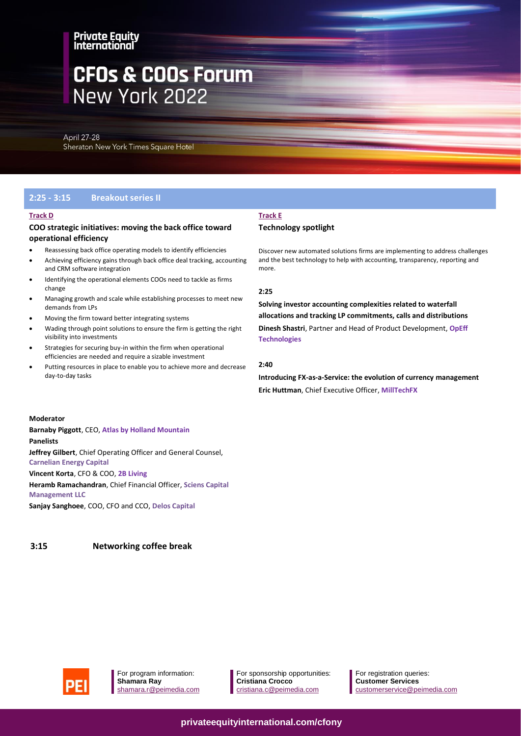# **CFOs & COOs Forum** New York 2022

**April 27-28** Sheraton New York Times Square Hotel

### **2:25 - 3:15 Breakout series II**

#### **Track D**

#### **COO strategic initiatives: moving the back office toward operational efficiency**

- Reassessing back office operating models to identify efficiencies
- Achieving efficiency gains through back office deal tracking, accounting and CRM software integration
- Identifying the operational elements COOs need to tackle as firms change
- Managing growth and scale while establishing processes to meet new demands from LPs
- Moving the firm toward better integrating systems
- Wading through point solutions to ensure the firm is getting the right visibility into investments
- Strategies for securing buy-in within the firm when operational efficiencies are needed and require a sizable investment
- Putting resources in place to enable you to achieve more and decrease day-to-day tasks

# **Track E**

#### **Technology spotlight**

Discover new automated solutions firms are implementing to address challenges and the best technology to help with accounting, transparency, reporting and more.

#### **2:25**

**Solving investor accounting complexities related to waterfall allocations and tracking LP commitments, calls and distributions**

**Dinesh Shastri**, Partner and Head of Product Development, **OpEff Technologies**

#### **2:40**

**Introducing FX-as-a-Service: the evolution of currency management Eric Huttman**, Chief Executive Officer, **MillTechFX**

#### **Moderator**

**Barnaby Piggott**, CEO, **Atlas by Holland Mountain Panelists Jeffrey Gilbert**, Chief Operating Officer and General Counsel, **Carnelian Energy Capital**

#### **Vincent Korta**, CFO & COO, **2B Living**

**Heramb Ramachandran**, Chief Financial Officer, **Sciens Capital Management LLC**

**Sanjay Sanghoee**, COO, CFO and CCO, **Delos Capital**

**3:15 Networking coffee break**



For program information: **Shamara Ray** shamara.r@peimedia.com

For sponsorship opportunities: **Cristiana Crocco** [cristiana.c@peimedia.com](mailto:cristiana.c@peimedia.com)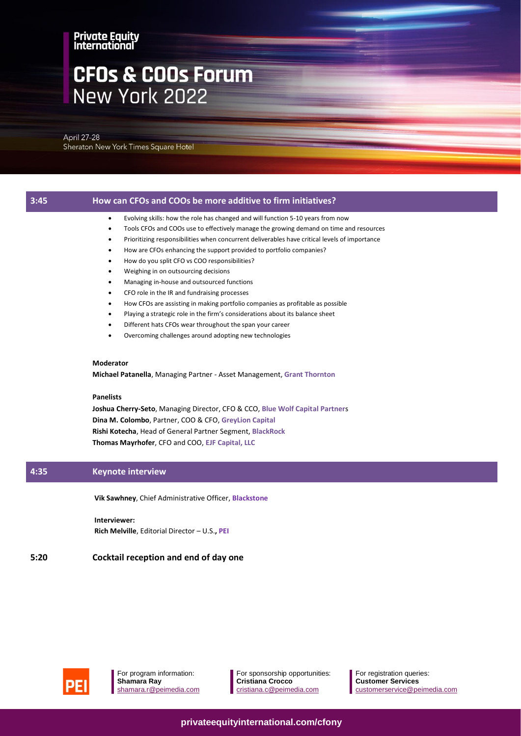# **CFOs & COOs Forum** New York 2022

**April 27-28** Sheraton New York Times Square Hotel

# **3:45 How can CFOs and COOs be more additive to firm initiatives?**  • Evolving skills: how the role has changed and will function 5-10 years from now

- Tools CFOs and COOs use to effectively manage the growing demand on time and resources
- Prioritizing responsibilities when concurrent deliverables have critical levels of importance
- How are CFOs enhancing the support provided to portfolio companies?
- How do you split CFO vs COO responsibilities?
- Weighing in on outsourcing decisions
- Managing in-house and outsourced functions
- CFO role in the IR and fundraising processes
- How CFOs are assisting in making portfolio companies as profitable as possible
- Playing a strategic role in the firm's considerations about its balance sheet
- Different hats CFOs wear throughout the span your career
- Overcoming challenges around adopting new technologies

#### **Moderator**

**Michael Patanella**, Managing Partner - Asset Management, **Grant Thornton**

#### **Panelists**

**Joshua Cherry-Seto**, Managing Director, CFO & CCO, **Blue Wolf Capital Partner**s **Dina M. Colombo**, Partner, COO & CFO, **GreyLion Capital Rishi Kotecha**, Head of General Partner Segment, **BlackRock Thomas Mayrhofer**, CFO and COO, **EJF Capital, LLC**

### **4:35 Keynote interview**

**Vik Sawhney**, Chief Administrative Officer, **Blackstone**

**Interviewer: Rich Melville**, Editorial Director – U.S.**, PEI**

#### **5:20 Cocktail reception and end of day one**



For program information: **Shamara Ray** shamara.r@peimedia.com For sponsorship opportunities: **Cristiana Crocco** [cristiana.c@peimedia.com](mailto:cristiana.c@peimedia.com)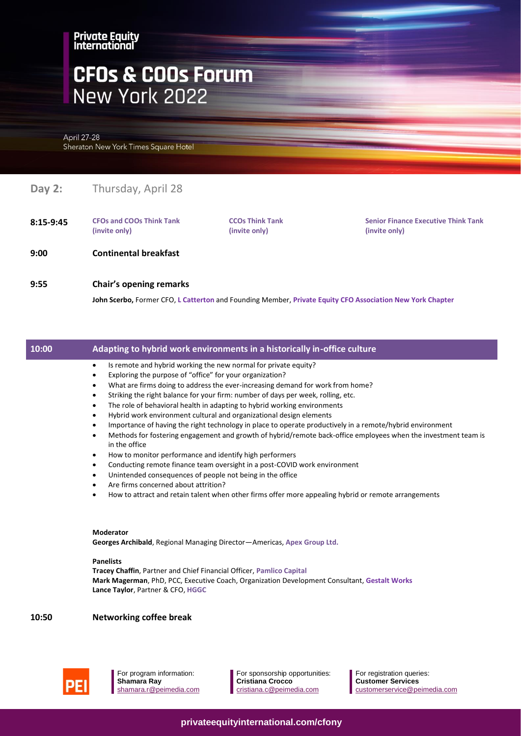# **CFOs & COOs Forum** New York 2022

April 27-28 Sheraton New York Times Square Hotel

# **Day 2:** Thursday, April 28

**8:15-9:45 CFOs and COOs Think Tank (invite only)**

**CCOs Think Tank (invite only)**

**Senior Finance Executive Think Tank (invite only)**

- **9:00 Continental breakfast**
- **9:55 Chair's opening remarks**

**John Scerbo,** Former CFO, **L Catterton** and Founding Member, **Private Equity CFO Association New York Chapter**

### **10:00 Adapting to hybrid work environments in a historically in-office culture**

- Is remote and hybrid working the new normal for private equity?
- Exploring the purpose of "office" for your organization?
- What are firms doing to address the ever-increasing demand for work from home?
- Striking the right balance for your firm: number of days per week, rolling, etc.
- The role of behavioral health in adapting to hybrid working environments
- Hybrid work environment cultural and organizational design elements
- Importance of having the right technology in place to operate productively in a remote/hybrid environment
- Methods for fostering engagement and growth of hybrid/remote back-office employees when the investment team is in the office
- How to monitor performance and identify high performers
- Conducting remote finance team oversight in a post-COVID work environment
- Unintended consequences of people not being in the office
- Are firms concerned about attrition?
- How to attract and retain talent when other firms offer more appealing hybrid or remote arrangements

#### **Moderator**

**Georges Archibald**, Regional Managing Director—Americas, **Apex Group Ltd.**

#### **Panelists**

**Tracey Chaffin**, Partner and Chief Financial Officer, **Pamlico Capital Mark Magerman**, PhD, PCC, Executive Coach, Organization Development Consultant, **Gestalt Works Lance Taylor**, Partner & CFO, **HGGC**

### **10:50 Networking coffee break**



For program information: **Shamara Ray** shamara.r@peimedia.com For sponsorship opportunities: **Cristiana Crocco** [cristiana.c@peimedia.com](mailto:cristiana.c@peimedia.com)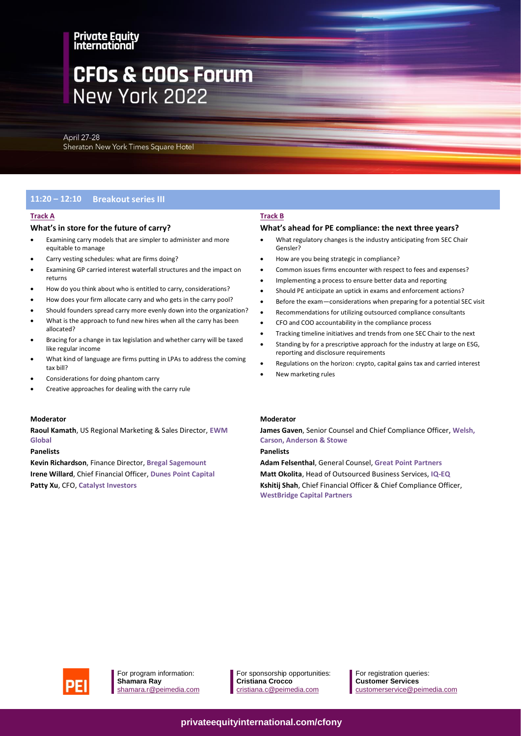# **CFOs & COOs Forum** New York 2022

April 27-28 Sheraton New York Times Square Hotel

# **11:20 – 12:10 Breakout series III**

#### **Track A**

#### **What's in store for the future of carry?**

- Examining carry models that are simpler to administer and more equitable to manage
- Carry vesting schedules: what are firms doing?
- Examining GP carried interest waterfall structures and the impact on returns
- How do you think about who is entitled to carry, considerations?
- How does your firm allocate carry and who gets in the carry pool?
- Should founders spread carry more evenly down into the organization?
- What is the approach to fund new hires when all the carry has been allocated?
- Bracing for a change in tax legislation and whether carry will be taxed like regular income
- What kind of language are firms putting in LPAs to address the coming tax bill?
- Considerations for doing phantom carry
- Creative approaches for dealing with the carry rule

#### **Moderator**

**Raoul Kamath**, US Regional Marketing & Sales Director, **EWM Global**

#### **Panelists**

**Kevin Richardson**, Finance Director, **Bregal Sagemount Irene Willard**, Chief Financial Officer, **Dunes Point Capital Patty Xu**, CFO, **Catalyst Investors**

#### **Track B**

#### **What's ahead for PE compliance: the next three years?**

- What regulatory changes is the industry anticipating from SEC Chair Gensler?
- How are you being strategic in compliance?
- Common issues firms encounter with respect to fees and expenses?
- Implementing a process to ensure better data and reporting
- Should PE anticipate an uptick in exams and enforcement actions?
- Before the exam—considerations when preparing for a potential SEC visit
- Recommendations for utilizing outsourced compliance consultants
- CFO and COO accountability in the compliance process
- Tracking timeline initiatives and trends from one SEC Chair to the next
- Standing by for a prescriptive approach for the industry at large on ESG, reporting and disclosure requirements
- Regulations on the horizon: crypto, capital gains tax and carried interest
- New marketing rules

#### **Moderator**

**James Gaven**, Senior Counsel and Chief Compliance Officer, **Welsh, Carson, Anderson & Stowe**

#### **Panelists**

**Adam Felsenthal**, General Counsel, **Great Point Partners Matt Okolita**, Head of Outsourced Business Services, **IQ-EQ Kshitij Shah**, Chief Financial Officer & Chief Compliance Officer, **WestBridge Capital Partners**



For program information: **Shamara Ray** shamara.r@peimedia.com For sponsorship opportunities: **Cristiana Crocco** [cristiana.c@peimedia.com](mailto:cristiana.c@peimedia.com)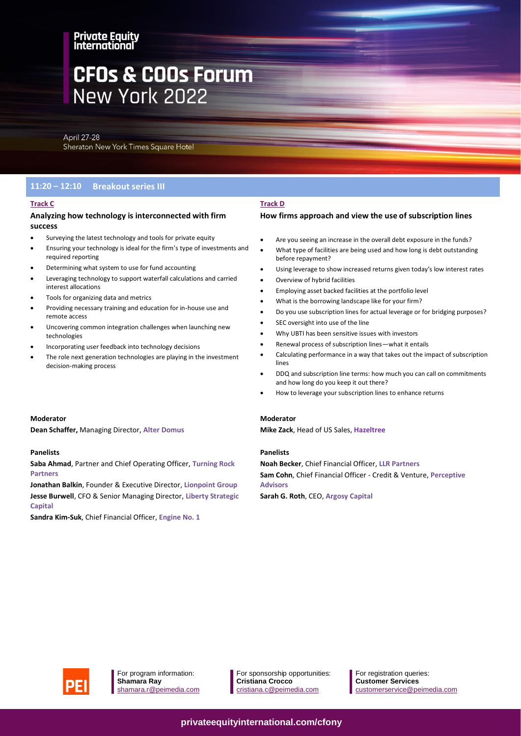# **CFOs & COOs Forum** New York 2022

April 27-28 Sheraton New York Times Square Hotel

# **11:20 – 12:10 Breakout series III**

#### **Track C**

#### **Analyzing how technology is interconnected with firm success**

- Surveying the latest technology and tools for private equity
- Ensuring your technology is ideal for the firm's type of investments and required reporting
- Determining what system to use for fund accounting
- Leveraging technology to support waterfall calculations and carried interest allocations
- Tools for organizing data and metrics
- Providing necessary training and education for in-house use and remote access
- Uncovering common integration challenges when launching new technologies
- Incorporating user feedback into technology decisions
- The role next generation technologies are playing in the investment decision-making process

#### **Track D**

## **How firms approach and view the use of subscription lines**

- Are you seeing an increase in the overall debt exposure in the funds?
- What type of facilities are being used and how long is debt outstanding before repayment?
- Using leverage to show increased returns given today's low interest rates
- Overview of hybrid facilities
- Employing asset backed facilities at the portfolio level
- What is the borrowing landscape like for your firm?
- Do you use subscription lines for actual leverage or for bridging purposes?
- SEC oversight into use of the line
- Why UBTI has been sensitive issues with investors
- Renewal process of subscription lines—what it entails
- Calculating performance in a way that takes out the impact of subscription lines
- DDQ and subscription line terms: how much you can call on commitments and how long do you keep it out there?
- How to leverage your subscription lines to enhance returns

#### **Moderator**

**Mike Zack**, Head of US Sales, **Hazeltree**

#### **Panelists**

**Noah Becker**, Chief Financial Officer, **LLR Partners Sam Cohn**, Chief Financial Officer - Credit & Venture, **Perceptive Advisors**

**Sarah G. Roth**, CEO, **Argosy Capital**

#### **Moderator**

**Dean Schaffer,** Managing Director, **Alter Domus**

#### **Panelists**

**Saba Ahmad**, Partner and Chief Operating Officer, **Turning Rock Partners**

**Jonathan Balkin**, Founder & Executive Director, **Lionpoint Group Jesse Burwell**, CFO & Senior Managing Director, **Liberty Strategic Capital**

**Sandra Kim-Suk**, Chief Financial Officer, **Engine No. 1**



For program information: **Shamara Ray** shamara.r@peimedia.com For sponsorship opportunities: **Cristiana Crocco** [cristiana.c@peimedia.com](mailto:cristiana.c@peimedia.com)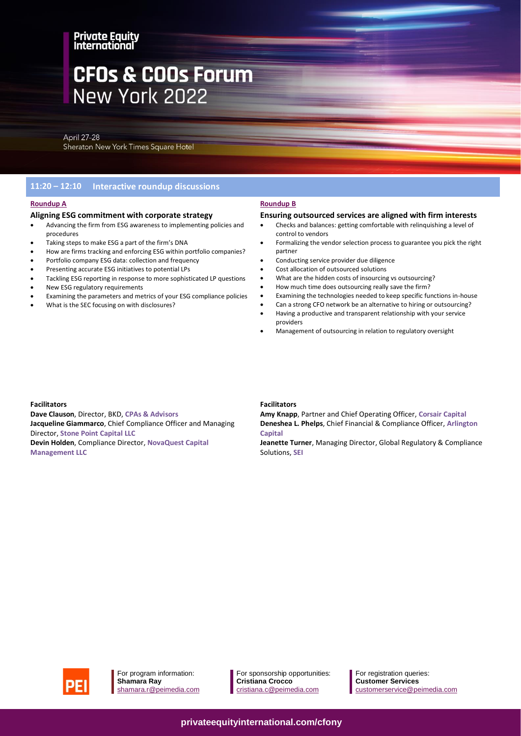# **CFOs & COOs Forum** New York 2022

**April 27-28** Sheraton New York Times Square Hotel

# **11:20 – 12:10 Interactive roundup discussions**

## **Roundup A**

#### **Aligning ESG commitment with corporate strategy**

- Advancing the firm from ESG awareness to implementing policies and procedures
- Taking steps to make ESG a part of the firm's DNA
- How are firms tracking and enforcing ESG within portfolio companies?
- Portfolio company ESG data: collection and frequency
- Presenting accurate ESG initiatives to potential LPs
- Tackling ESG reporting in response to more sophisticated LP questions
- New ESG regulatory requirements
- Examining the parameters and metrics of your ESG compliance policies
- What is the SEC focusing on with disclosures?

#### **Roundup B**

#### **Ensuring outsourced services are aligned with firm interests**

- Checks and balances: getting comfortable with relinquishing a level of control to vendors
- Formalizing the vendor selection process to guarantee you pick the right partner
- Conducting service provider due diligence
- Cost allocation of outsourced solutions
- What are the hidden costs of insourcing vs outsourcing?
- How much time does outsourcing really save the firm?
- Examining the technologies needed to keep specific functions in-house
- Can a strong CFO network be an alternative to hiring or outsourcing? • Having a productive and transparent relationship with your service providers
- Management of outsourcing in relation to regulatory oversight

#### **Facilitators**

**Dave Clauson**, Director, BKD, **CPAs & Advisors Jacqueline Giammarco**, Chief Compliance Officer and Managing Director, **Stone Point Capital LLC Devin Holden**, Compliance Director, **NovaQuest Capital Management LLC**

#### **Facilitators**

**Amy Knapp**, Partner and Chief Operating Officer, **Corsair Capital Deneshea L. Phelps**, Chief Financial & Compliance Officer, **Arlington Capital**

**Jeanette Turner**, Managing Director, Global Regulatory & Compliance Solutions, **SEI**



For program information: **Shamara Ray** shamara.r@peimedia.com

For sponsorship opportunities: **Cristiana Crocco** [cristiana.c@peimedia.com](mailto:cristiana.c@peimedia.com)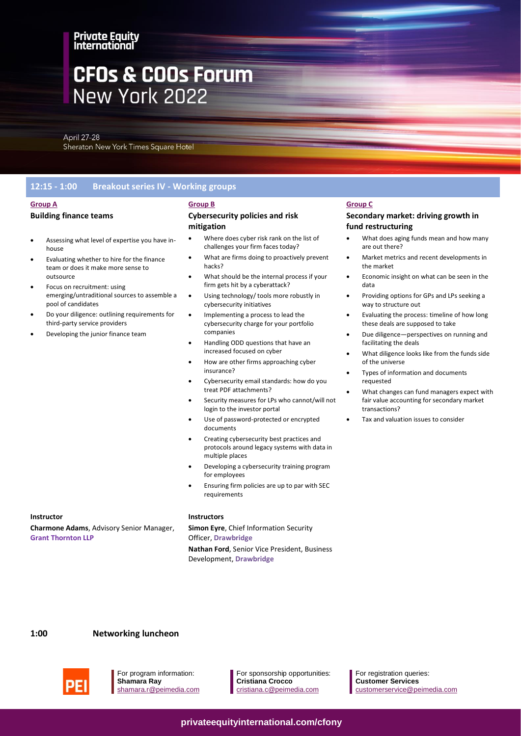# **CFOs & COOs Forum** New York 2022

April 27-28 Sheraton New York Times Square Hotel

# **12:15 - 1:00 Breakout series IV - Working groups**

• Assessing what level of expertise you have in-

emerging/untraditional sources to assemble a

• Do your diligence: outlining requirements for

• Evaluating whether to hire for the finance team or does it make more sense to

• Focus on recruitment: using

third-party service providers • Developing the junior finance team

pool of candidates

#### **Group A**

house

outsource

#### **Building finance teams**

**Group B**

#### **Cybersecurity policies and risk mitigation**

- Where does cyber risk rank on the list of challenges your firm faces today?
- What are firms doing to proactively prevent hacks?
- What should be the internal process if your firm gets hit by a cyberattack?
- Using technology/ tools more robustly in cybersecurity initiatives
- Implementing a process to lead the cybersecurity charge for your portfolio companies
- Handling ODD questions that have an increased focused on cyber
- How are other firms approaching cyber insurance?
- Cybersecurity email standards: how do you treat PDF attachments?
- Security measures for LPs who cannot/will not login to the investor portal
- Use of password-protected or encrypted documents
- Creating cybersecurity best practices and protocols around legacy systems with data in multiple places
- Developing a cybersecurity training program for employees
- Ensuring firm policies are up to par with SEC requirements

#### **Instructor**

**Charmone Adams**, Advisory Senior Manager, **Grant Thornton LLP**

#### **Instructors**

**Simon Eyre**, Chief Information Security Officer, **Drawbridge**

**Nathan Ford**, Senior Vice President, Business Development, **Drawbridge**

#### **Group C**

### **Secondary market: driving growth in fund restructuring**

- What does aging funds mean and how many are out there?
- Market metrics and recent developments in the market
- Economic insight on what can be seen in the data
- Providing options for GPs and LPs seeking a way to structure out
- Evaluating the process: timeline of how long these deals are supposed to take
- Due diligence—perspectives on running and facilitating the deals
- What diligence looks like from the funds side of the universe
- Types of information and documents requested
- What changes can fund managers expect with fair value accounting for secondary market transactions?
- Tax and valuation issues to consider

# **1:00 Networking luncheon**



For program information: **Shamara Ray** shamara.r@peimedia.com For sponsorship opportunities: **Cristiana Crocco** [cristiana.c@peimedia.com](mailto:cristiana.c@peimedia.com)